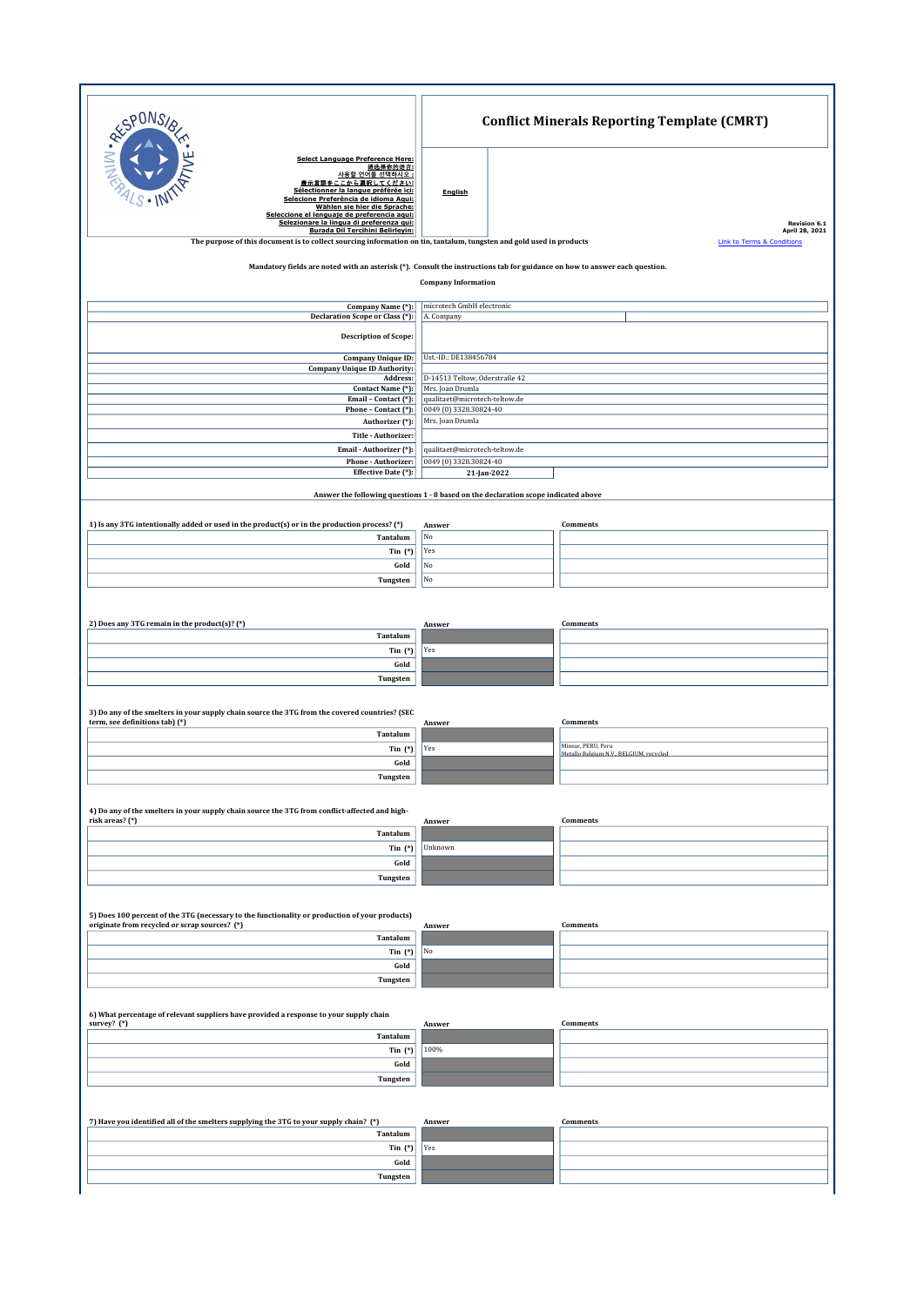| <b>Select Language Preference Here:</b><br>请选择你的语言:<br>사용할 언어를 선택하시오 :<br>表示言語をここから選択してください<br>Sélectionner la langue préférée ici:<br>English<br>Selecione Preferência de idioma Aqui:<br>Wählen sie hier die Sprache:<br>Seleccione el lenguaje de preferencia aqui:<br>Selezionare la lingua di preferenza qui:<br>Revision 6.1<br><b>Burada Dil Tercihini Belirleyin:</b><br>April 28, 2021<br>The purpose of this document is to collect sourcing information on tin, tantalum, tungsten and gold used in products<br><b>Link to Terms &amp; Conditions</b><br>Mandatory fields are noted with an asterisk (*). Consult the instructions tab for guidance on how to answer each question.<br><b>Company Information</b><br>microtech GmbH electronic<br>Company Name (*):<br>Declaration Scope or Class (*):<br>A. Company<br><b>Description of Scope:</b><br>Ust.-ID.: DE138456784<br>Company Unique ID:<br><b>Company Unique ID Authority:</b><br>D-14513 Teltow, Oderstraße 42<br>Address:<br>Contact Name (*):<br>Mrs. Joan Drumla<br>qualitaet@microtech-teltow.de<br>Email - Contact (*):<br>0049 (0) 3328.30824-40<br>Phone - Contact (*):<br>Authorizer (*):<br>Mrs. Joan Drumla<br>Title - Authorizer:<br>Email - Authorizer (*):<br>qualitaet@microtech-teltow.de<br>0049 (0) 3328.30824-40<br>Phone - Authorizer:<br>Effective Date (*):<br>21-Jan-2022<br>Answer the following questions 1 - 8 based on the declaration scope indicated above<br>1) Is any 3TG intentionally added or used in the product(s) or in the production process? (*)<br>Comments<br>Answer<br>Tantalum<br>No<br>Yes<br>Tin $(*)$<br>No<br>Gold<br>No<br>Tungsten<br>2) Does any 3TG remain in the product(s)? (*)<br><b>Comments</b><br>Answer<br>Tantalum<br>Yes<br>Tin $(*)$<br>Gold<br>Tungsten<br>3) Do any of the smelters in your supply chain source the 3TG from the covered countries? (SEC<br>term, see definitions tab) (*)<br><b>Comments</b><br>Answer<br>Tantalum<br>Minsur, PERU, Peru<br>Yes<br>Tin $(*)$<br>Metallo Belgium N.V., BELGIUM, recycled<br>Gold<br>Tungsten<br>4) Do any of the smelters in your supply chain source the 3TG from conflict-affected and high-<br>risk areas? (*)<br><b>Comments</b><br>Answer<br>Tantalum<br>Unknown<br>Tin $(*)$<br>Gold<br>Tungsten<br>5) Does 100 percent of the 3TG (necessary to the functionality or production of your products)<br>originate from recycled or scrap sources? (*)<br><b>Comments</b><br>Answer<br>Tantalum<br>No<br>Tin $(*)$<br>Gold<br>Tungsten<br>6) What percentage of relevant suppliers have provided a response to your supply chain<br>survey? (*)<br><b>Comments</b><br>Answer<br>Tantalum<br>100%<br>Tin $(*)$ | PONS,     | <b>Conflict Minerals Reporting Template (CMRT)</b> |  |  |  |  |  |  |
|---------------------------------------------------------------------------------------------------------------------------------------------------------------------------------------------------------------------------------------------------------------------------------------------------------------------------------------------------------------------------------------------------------------------------------------------------------------------------------------------------------------------------------------------------------------------------------------------------------------------------------------------------------------------------------------------------------------------------------------------------------------------------------------------------------------------------------------------------------------------------------------------------------------------------------------------------------------------------------------------------------------------------------------------------------------------------------------------------------------------------------------------------------------------------------------------------------------------------------------------------------------------------------------------------------------------------------------------------------------------------------------------------------------------------------------------------------------------------------------------------------------------------------------------------------------------------------------------------------------------------------------------------------------------------------------------------------------------------------------------------------------------------------------------------------------------------------------------------------------------------------------------------------------------------------------------------------------------------------------------------------------------------------------------------------------------------------------------------------------------------------------------------------------------------------------------------------------------------------------------------------------------------------------------------------------------------------------------------------------------------------------------------------------------------------------------------------------------------------------------------------------------------------------------------------------------------------------------------------------------------------------------------------------------------------------------------------|-----------|----------------------------------------------------|--|--|--|--|--|--|
|                                                                                                                                                                                                                                                                                                                                                                                                                                                                                                                                                                                                                                                                                                                                                                                                                                                                                                                                                                                                                                                                                                                                                                                                                                                                                                                                                                                                                                                                                                                                                                                                                                                                                                                                                                                                                                                                                                                                                                                                                                                                                                                                                                                                                                                                                                                                                                                                                                                                                                                                                                                                                                                                                                         | JAILW. RE |                                                    |  |  |  |  |  |  |
|                                                                                                                                                                                                                                                                                                                                                                                                                                                                                                                                                                                                                                                                                                                                                                                                                                                                                                                                                                                                                                                                                                                                                                                                                                                                                                                                                                                                                                                                                                                                                                                                                                                                                                                                                                                                                                                                                                                                                                                                                                                                                                                                                                                                                                                                                                                                                                                                                                                                                                                                                                                                                                                                                                         |           |                                                    |  |  |  |  |  |  |
|                                                                                                                                                                                                                                                                                                                                                                                                                                                                                                                                                                                                                                                                                                                                                                                                                                                                                                                                                                                                                                                                                                                                                                                                                                                                                                                                                                                                                                                                                                                                                                                                                                                                                                                                                                                                                                                                                                                                                                                                                                                                                                                                                                                                                                                                                                                                                                                                                                                                                                                                                                                                                                                                                                         |           |                                                    |  |  |  |  |  |  |
|                                                                                                                                                                                                                                                                                                                                                                                                                                                                                                                                                                                                                                                                                                                                                                                                                                                                                                                                                                                                                                                                                                                                                                                                                                                                                                                                                                                                                                                                                                                                                                                                                                                                                                                                                                                                                                                                                                                                                                                                                                                                                                                                                                                                                                                                                                                                                                                                                                                                                                                                                                                                                                                                                                         |           |                                                    |  |  |  |  |  |  |
|                                                                                                                                                                                                                                                                                                                                                                                                                                                                                                                                                                                                                                                                                                                                                                                                                                                                                                                                                                                                                                                                                                                                                                                                                                                                                                                                                                                                                                                                                                                                                                                                                                                                                                                                                                                                                                                                                                                                                                                                                                                                                                                                                                                                                                                                                                                                                                                                                                                                                                                                                                                                                                                                                                         |           |                                                    |  |  |  |  |  |  |
|                                                                                                                                                                                                                                                                                                                                                                                                                                                                                                                                                                                                                                                                                                                                                                                                                                                                                                                                                                                                                                                                                                                                                                                                                                                                                                                                                                                                                                                                                                                                                                                                                                                                                                                                                                                                                                                                                                                                                                                                                                                                                                                                                                                                                                                                                                                                                                                                                                                                                                                                                                                                                                                                                                         |           |                                                    |  |  |  |  |  |  |
|                                                                                                                                                                                                                                                                                                                                                                                                                                                                                                                                                                                                                                                                                                                                                                                                                                                                                                                                                                                                                                                                                                                                                                                                                                                                                                                                                                                                                                                                                                                                                                                                                                                                                                                                                                                                                                                                                                                                                                                                                                                                                                                                                                                                                                                                                                                                                                                                                                                                                                                                                                                                                                                                                                         |           |                                                    |  |  |  |  |  |  |
|                                                                                                                                                                                                                                                                                                                                                                                                                                                                                                                                                                                                                                                                                                                                                                                                                                                                                                                                                                                                                                                                                                                                                                                                                                                                                                                                                                                                                                                                                                                                                                                                                                                                                                                                                                                                                                                                                                                                                                                                                                                                                                                                                                                                                                                                                                                                                                                                                                                                                                                                                                                                                                                                                                         |           |                                                    |  |  |  |  |  |  |
|                                                                                                                                                                                                                                                                                                                                                                                                                                                                                                                                                                                                                                                                                                                                                                                                                                                                                                                                                                                                                                                                                                                                                                                                                                                                                                                                                                                                                                                                                                                                                                                                                                                                                                                                                                                                                                                                                                                                                                                                                                                                                                                                                                                                                                                                                                                                                                                                                                                                                                                                                                                                                                                                                                         |           |                                                    |  |  |  |  |  |  |
|                                                                                                                                                                                                                                                                                                                                                                                                                                                                                                                                                                                                                                                                                                                                                                                                                                                                                                                                                                                                                                                                                                                                                                                                                                                                                                                                                                                                                                                                                                                                                                                                                                                                                                                                                                                                                                                                                                                                                                                                                                                                                                                                                                                                                                                                                                                                                                                                                                                                                                                                                                                                                                                                                                         |           |                                                    |  |  |  |  |  |  |
|                                                                                                                                                                                                                                                                                                                                                                                                                                                                                                                                                                                                                                                                                                                                                                                                                                                                                                                                                                                                                                                                                                                                                                                                                                                                                                                                                                                                                                                                                                                                                                                                                                                                                                                                                                                                                                                                                                                                                                                                                                                                                                                                                                                                                                                                                                                                                                                                                                                                                                                                                                                                                                                                                                         |           |                                                    |  |  |  |  |  |  |
|                                                                                                                                                                                                                                                                                                                                                                                                                                                                                                                                                                                                                                                                                                                                                                                                                                                                                                                                                                                                                                                                                                                                                                                                                                                                                                                                                                                                                                                                                                                                                                                                                                                                                                                                                                                                                                                                                                                                                                                                                                                                                                                                                                                                                                                                                                                                                                                                                                                                                                                                                                                                                                                                                                         |           |                                                    |  |  |  |  |  |  |
|                                                                                                                                                                                                                                                                                                                                                                                                                                                                                                                                                                                                                                                                                                                                                                                                                                                                                                                                                                                                                                                                                                                                                                                                                                                                                                                                                                                                                                                                                                                                                                                                                                                                                                                                                                                                                                                                                                                                                                                                                                                                                                                                                                                                                                                                                                                                                                                                                                                                                                                                                                                                                                                                                                         |           |                                                    |  |  |  |  |  |  |
|                                                                                                                                                                                                                                                                                                                                                                                                                                                                                                                                                                                                                                                                                                                                                                                                                                                                                                                                                                                                                                                                                                                                                                                                                                                                                                                                                                                                                                                                                                                                                                                                                                                                                                                                                                                                                                                                                                                                                                                                                                                                                                                                                                                                                                                                                                                                                                                                                                                                                                                                                                                                                                                                                                         |           |                                                    |  |  |  |  |  |  |
|                                                                                                                                                                                                                                                                                                                                                                                                                                                                                                                                                                                                                                                                                                                                                                                                                                                                                                                                                                                                                                                                                                                                                                                                                                                                                                                                                                                                                                                                                                                                                                                                                                                                                                                                                                                                                                                                                                                                                                                                                                                                                                                                                                                                                                                                                                                                                                                                                                                                                                                                                                                                                                                                                                         |           |                                                    |  |  |  |  |  |  |
|                                                                                                                                                                                                                                                                                                                                                                                                                                                                                                                                                                                                                                                                                                                                                                                                                                                                                                                                                                                                                                                                                                                                                                                                                                                                                                                                                                                                                                                                                                                                                                                                                                                                                                                                                                                                                                                                                                                                                                                                                                                                                                                                                                                                                                                                                                                                                                                                                                                                                                                                                                                                                                                                                                         |           |                                                    |  |  |  |  |  |  |
|                                                                                                                                                                                                                                                                                                                                                                                                                                                                                                                                                                                                                                                                                                                                                                                                                                                                                                                                                                                                                                                                                                                                                                                                                                                                                                                                                                                                                                                                                                                                                                                                                                                                                                                                                                                                                                                                                                                                                                                                                                                                                                                                                                                                                                                                                                                                                                                                                                                                                                                                                                                                                                                                                                         |           |                                                    |  |  |  |  |  |  |
|                                                                                                                                                                                                                                                                                                                                                                                                                                                                                                                                                                                                                                                                                                                                                                                                                                                                                                                                                                                                                                                                                                                                                                                                                                                                                                                                                                                                                                                                                                                                                                                                                                                                                                                                                                                                                                                                                                                                                                                                                                                                                                                                                                                                                                                                                                                                                                                                                                                                                                                                                                                                                                                                                                         |           |                                                    |  |  |  |  |  |  |
|                                                                                                                                                                                                                                                                                                                                                                                                                                                                                                                                                                                                                                                                                                                                                                                                                                                                                                                                                                                                                                                                                                                                                                                                                                                                                                                                                                                                                                                                                                                                                                                                                                                                                                                                                                                                                                                                                                                                                                                                                                                                                                                                                                                                                                                                                                                                                                                                                                                                                                                                                                                                                                                                                                         |           |                                                    |  |  |  |  |  |  |
|                                                                                                                                                                                                                                                                                                                                                                                                                                                                                                                                                                                                                                                                                                                                                                                                                                                                                                                                                                                                                                                                                                                                                                                                                                                                                                                                                                                                                                                                                                                                                                                                                                                                                                                                                                                                                                                                                                                                                                                                                                                                                                                                                                                                                                                                                                                                                                                                                                                                                                                                                                                                                                                                                                         |           |                                                    |  |  |  |  |  |  |
|                                                                                                                                                                                                                                                                                                                                                                                                                                                                                                                                                                                                                                                                                                                                                                                                                                                                                                                                                                                                                                                                                                                                                                                                                                                                                                                                                                                                                                                                                                                                                                                                                                                                                                                                                                                                                                                                                                                                                                                                                                                                                                                                                                                                                                                                                                                                                                                                                                                                                                                                                                                                                                                                                                         |           |                                                    |  |  |  |  |  |  |
|                                                                                                                                                                                                                                                                                                                                                                                                                                                                                                                                                                                                                                                                                                                                                                                                                                                                                                                                                                                                                                                                                                                                                                                                                                                                                                                                                                                                                                                                                                                                                                                                                                                                                                                                                                                                                                                                                                                                                                                                                                                                                                                                                                                                                                                                                                                                                                                                                                                                                                                                                                                                                                                                                                         |           |                                                    |  |  |  |  |  |  |
|                                                                                                                                                                                                                                                                                                                                                                                                                                                                                                                                                                                                                                                                                                                                                                                                                                                                                                                                                                                                                                                                                                                                                                                                                                                                                                                                                                                                                                                                                                                                                                                                                                                                                                                                                                                                                                                                                                                                                                                                                                                                                                                                                                                                                                                                                                                                                                                                                                                                                                                                                                                                                                                                                                         |           |                                                    |  |  |  |  |  |  |
|                                                                                                                                                                                                                                                                                                                                                                                                                                                                                                                                                                                                                                                                                                                                                                                                                                                                                                                                                                                                                                                                                                                                                                                                                                                                                                                                                                                                                                                                                                                                                                                                                                                                                                                                                                                                                                                                                                                                                                                                                                                                                                                                                                                                                                                                                                                                                                                                                                                                                                                                                                                                                                                                                                         |           |                                                    |  |  |  |  |  |  |
|                                                                                                                                                                                                                                                                                                                                                                                                                                                                                                                                                                                                                                                                                                                                                                                                                                                                                                                                                                                                                                                                                                                                                                                                                                                                                                                                                                                                                                                                                                                                                                                                                                                                                                                                                                                                                                                                                                                                                                                                                                                                                                                                                                                                                                                                                                                                                                                                                                                                                                                                                                                                                                                                                                         |           |                                                    |  |  |  |  |  |  |
|                                                                                                                                                                                                                                                                                                                                                                                                                                                                                                                                                                                                                                                                                                                                                                                                                                                                                                                                                                                                                                                                                                                                                                                                                                                                                                                                                                                                                                                                                                                                                                                                                                                                                                                                                                                                                                                                                                                                                                                                                                                                                                                                                                                                                                                                                                                                                                                                                                                                                                                                                                                                                                                                                                         |           |                                                    |  |  |  |  |  |  |
|                                                                                                                                                                                                                                                                                                                                                                                                                                                                                                                                                                                                                                                                                                                                                                                                                                                                                                                                                                                                                                                                                                                                                                                                                                                                                                                                                                                                                                                                                                                                                                                                                                                                                                                                                                                                                                                                                                                                                                                                                                                                                                                                                                                                                                                                                                                                                                                                                                                                                                                                                                                                                                                                                                         |           |                                                    |  |  |  |  |  |  |
|                                                                                                                                                                                                                                                                                                                                                                                                                                                                                                                                                                                                                                                                                                                                                                                                                                                                                                                                                                                                                                                                                                                                                                                                                                                                                                                                                                                                                                                                                                                                                                                                                                                                                                                                                                                                                                                                                                                                                                                                                                                                                                                                                                                                                                                                                                                                                                                                                                                                                                                                                                                                                                                                                                         |           |                                                    |  |  |  |  |  |  |
|                                                                                                                                                                                                                                                                                                                                                                                                                                                                                                                                                                                                                                                                                                                                                                                                                                                                                                                                                                                                                                                                                                                                                                                                                                                                                                                                                                                                                                                                                                                                                                                                                                                                                                                                                                                                                                                                                                                                                                                                                                                                                                                                                                                                                                                                                                                                                                                                                                                                                                                                                                                                                                                                                                         |           |                                                    |  |  |  |  |  |  |
|                                                                                                                                                                                                                                                                                                                                                                                                                                                                                                                                                                                                                                                                                                                                                                                                                                                                                                                                                                                                                                                                                                                                                                                                                                                                                                                                                                                                                                                                                                                                                                                                                                                                                                                                                                                                                                                                                                                                                                                                                                                                                                                                                                                                                                                                                                                                                                                                                                                                                                                                                                                                                                                                                                         |           |                                                    |  |  |  |  |  |  |
|                                                                                                                                                                                                                                                                                                                                                                                                                                                                                                                                                                                                                                                                                                                                                                                                                                                                                                                                                                                                                                                                                                                                                                                                                                                                                                                                                                                                                                                                                                                                                                                                                                                                                                                                                                                                                                                                                                                                                                                                                                                                                                                                                                                                                                                                                                                                                                                                                                                                                                                                                                                                                                                                                                         |           |                                                    |  |  |  |  |  |  |
|                                                                                                                                                                                                                                                                                                                                                                                                                                                                                                                                                                                                                                                                                                                                                                                                                                                                                                                                                                                                                                                                                                                                                                                                                                                                                                                                                                                                                                                                                                                                                                                                                                                                                                                                                                                                                                                                                                                                                                                                                                                                                                                                                                                                                                                                                                                                                                                                                                                                                                                                                                                                                                                                                                         |           |                                                    |  |  |  |  |  |  |
|                                                                                                                                                                                                                                                                                                                                                                                                                                                                                                                                                                                                                                                                                                                                                                                                                                                                                                                                                                                                                                                                                                                                                                                                                                                                                                                                                                                                                                                                                                                                                                                                                                                                                                                                                                                                                                                                                                                                                                                                                                                                                                                                                                                                                                                                                                                                                                                                                                                                                                                                                                                                                                                                                                         |           |                                                    |  |  |  |  |  |  |
|                                                                                                                                                                                                                                                                                                                                                                                                                                                                                                                                                                                                                                                                                                                                                                                                                                                                                                                                                                                                                                                                                                                                                                                                                                                                                                                                                                                                                                                                                                                                                                                                                                                                                                                                                                                                                                                                                                                                                                                                                                                                                                                                                                                                                                                                                                                                                                                                                                                                                                                                                                                                                                                                                                         |           |                                                    |  |  |  |  |  |  |
|                                                                                                                                                                                                                                                                                                                                                                                                                                                                                                                                                                                                                                                                                                                                                                                                                                                                                                                                                                                                                                                                                                                                                                                                                                                                                                                                                                                                                                                                                                                                                                                                                                                                                                                                                                                                                                                                                                                                                                                                                                                                                                                                                                                                                                                                                                                                                                                                                                                                                                                                                                                                                                                                                                         |           |                                                    |  |  |  |  |  |  |
| Gold                                                                                                                                                                                                                                                                                                                                                                                                                                                                                                                                                                                                                                                                                                                                                                                                                                                                                                                                                                                                                                                                                                                                                                                                                                                                                                                                                                                                                                                                                                                                                                                                                                                                                                                                                                                                                                                                                                                                                                                                                                                                                                                                                                                                                                                                                                                                                                                                                                                                                                                                                                                                                                                                                                    |           |                                                    |  |  |  |  |  |  |
| Tungsten                                                                                                                                                                                                                                                                                                                                                                                                                                                                                                                                                                                                                                                                                                                                                                                                                                                                                                                                                                                                                                                                                                                                                                                                                                                                                                                                                                                                                                                                                                                                                                                                                                                                                                                                                                                                                                                                                                                                                                                                                                                                                                                                                                                                                                                                                                                                                                                                                                                                                                                                                                                                                                                                                                |           |                                                    |  |  |  |  |  |  |
|                                                                                                                                                                                                                                                                                                                                                                                                                                                                                                                                                                                                                                                                                                                                                                                                                                                                                                                                                                                                                                                                                                                                                                                                                                                                                                                                                                                                                                                                                                                                                                                                                                                                                                                                                                                                                                                                                                                                                                                                                                                                                                                                                                                                                                                                                                                                                                                                                                                                                                                                                                                                                                                                                                         |           |                                                    |  |  |  |  |  |  |
| 7) Have you identified all of the smelters supplying the 3TG to your supply chain? (*)<br><b>Comments</b><br>Answer<br>Tantalum                                                                                                                                                                                                                                                                                                                                                                                                                                                                                                                                                                                                                                                                                                                                                                                                                                                                                                                                                                                                                                                                                                                                                                                                                                                                                                                                                                                                                                                                                                                                                                                                                                                                                                                                                                                                                                                                                                                                                                                                                                                                                                                                                                                                                                                                                                                                                                                                                                                                                                                                                                         |           |                                                    |  |  |  |  |  |  |
| Yes<br>Tin $(*)$<br>Gold                                                                                                                                                                                                                                                                                                                                                                                                                                                                                                                                                                                                                                                                                                                                                                                                                                                                                                                                                                                                                                                                                                                                                                                                                                                                                                                                                                                                                                                                                                                                                                                                                                                                                                                                                                                                                                                                                                                                                                                                                                                                                                                                                                                                                                                                                                                                                                                                                                                                                                                                                                                                                                                                                |           |                                                    |  |  |  |  |  |  |
| Tungsten                                                                                                                                                                                                                                                                                                                                                                                                                                                                                                                                                                                                                                                                                                                                                                                                                                                                                                                                                                                                                                                                                                                                                                                                                                                                                                                                                                                                                                                                                                                                                                                                                                                                                                                                                                                                                                                                                                                                                                                                                                                                                                                                                                                                                                                                                                                                                                                                                                                                                                                                                                                                                                                                                                |           |                                                    |  |  |  |  |  |  |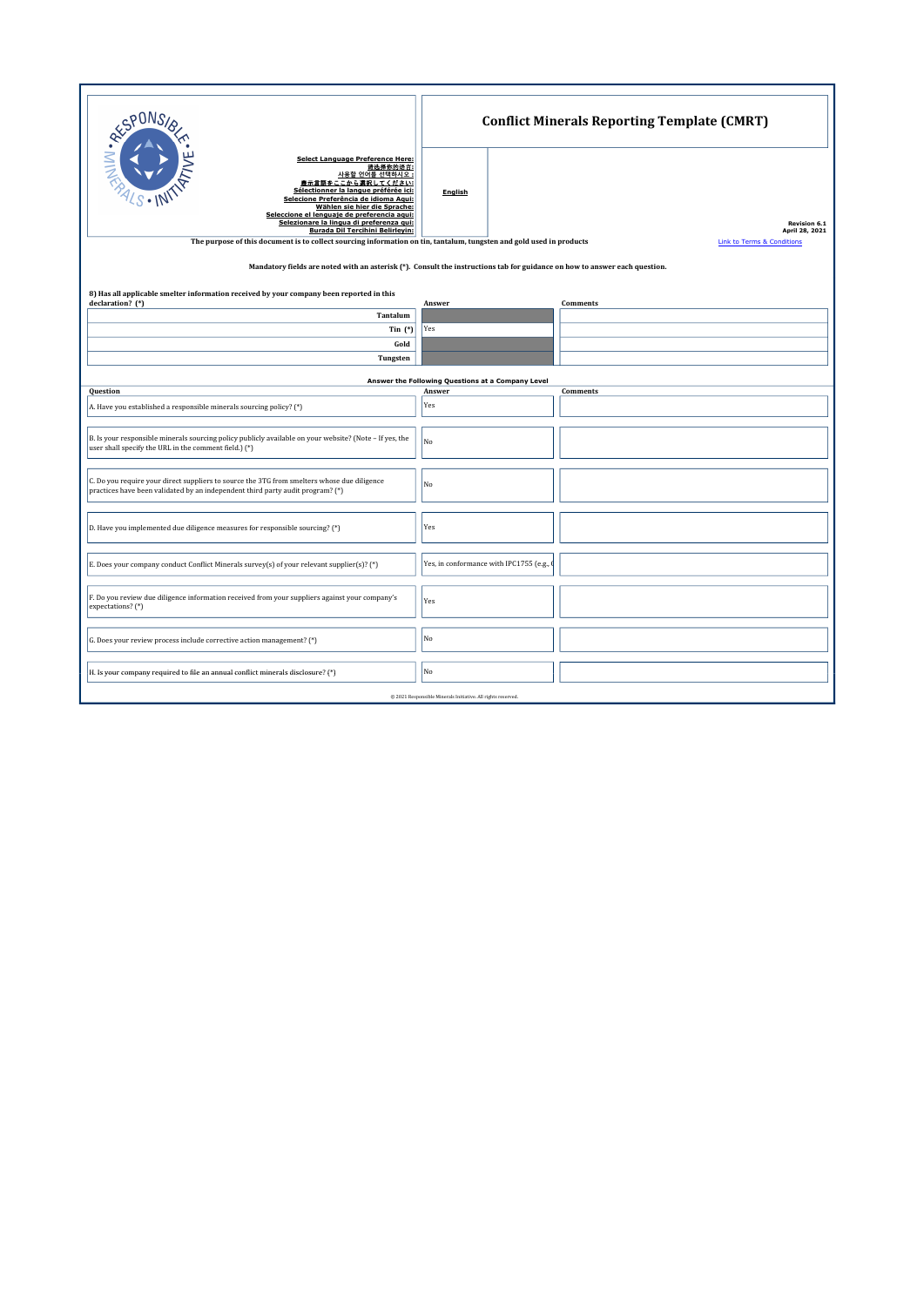| RESPONS                                                                                                                                                                                                                                                                                                                                                                                                                                                              | <b>Conflict Minerals Reporting Template (CMRT)</b>          |                                                                         |  |  |  |  |  |  |  |  |  |
|----------------------------------------------------------------------------------------------------------------------------------------------------------------------------------------------------------------------------------------------------------------------------------------------------------------------------------------------------------------------------------------------------------------------------------------------------------------------|-------------------------------------------------------------|-------------------------------------------------------------------------|--|--|--|--|--|--|--|--|--|
| <b>Select Language Preference Here:</b><br>请选择你的语言:<br>사용할 언어를 선택하시오 :<br>表示言語をここから選択してください:<br>Sélectionner la langue préférée ici:<br>Selecione Preferência de idioma Aqui:<br>Wählen sie hier die Sprache:<br>Seleccione el lenguaje de preferencia aqui:<br>Selezionare la lingua di preferenza qui:<br>Burada Dil Tercihini Belirleyin:<br>The purpose of this document is to collect sourcing information on tin, tantalum, tungsten and gold used in products | English                                                     | Revision 6.1<br>April 28, 2021<br><b>Link to Terms &amp; Conditions</b> |  |  |  |  |  |  |  |  |  |
| Mandatory fields are noted with an asterisk (*). Consult the instructions tab for guidance on how to answer each question.                                                                                                                                                                                                                                                                                                                                           |                                                             |                                                                         |  |  |  |  |  |  |  |  |  |
| 8) Has all applicable smelter information received by your company been reported in this<br>declaration? (*)                                                                                                                                                                                                                                                                                                                                                         | Answer                                                      | Comments                                                                |  |  |  |  |  |  |  |  |  |
| Tantalum                                                                                                                                                                                                                                                                                                                                                                                                                                                             |                                                             |                                                                         |  |  |  |  |  |  |  |  |  |
| Tin $(*)$                                                                                                                                                                                                                                                                                                                                                                                                                                                            | Yes                                                         |                                                                         |  |  |  |  |  |  |  |  |  |
| Gold<br>Tungsten                                                                                                                                                                                                                                                                                                                                                                                                                                                     |                                                             |                                                                         |  |  |  |  |  |  |  |  |  |
|                                                                                                                                                                                                                                                                                                                                                                                                                                                                      |                                                             |                                                                         |  |  |  |  |  |  |  |  |  |
| Question                                                                                                                                                                                                                                                                                                                                                                                                                                                             | Answer the Following Questions at a Company Level<br>Answer | <b>Comments</b>                                                         |  |  |  |  |  |  |  |  |  |
| A. Have you established a responsible minerals sourcing policy? (*)                                                                                                                                                                                                                                                                                                                                                                                                  | Yes                                                         |                                                                         |  |  |  |  |  |  |  |  |  |
| B. Is your responsible minerals sourcing policy publicly available on your website? (Note - If yes, the<br>user shall specify the URL in the comment field.) (*)                                                                                                                                                                                                                                                                                                     | No                                                          |                                                                         |  |  |  |  |  |  |  |  |  |
| C. Do you require your direct suppliers to source the 3TG from smelters whose due diligence<br>practices have been validated by an independent third party audit program? (*)                                                                                                                                                                                                                                                                                        | No                                                          |                                                                         |  |  |  |  |  |  |  |  |  |
| D. Have you implemented due diligence measures for responsible sourcing? (*)                                                                                                                                                                                                                                                                                                                                                                                         | Yes                                                         |                                                                         |  |  |  |  |  |  |  |  |  |
| E. Does your company conduct Conflict Minerals survey(s) of your relevant supplier(s)? (*)                                                                                                                                                                                                                                                                                                                                                                           | Yes, in conformance with IPC1755 (e.g.,                     |                                                                         |  |  |  |  |  |  |  |  |  |
| F. Do you review due diligence information received from your suppliers against your company's<br>expectations? (*)                                                                                                                                                                                                                                                                                                                                                  | Yes                                                         |                                                                         |  |  |  |  |  |  |  |  |  |
| G. Does your review process include corrective action management? (*)                                                                                                                                                                                                                                                                                                                                                                                                | No                                                          |                                                                         |  |  |  |  |  |  |  |  |  |
| H. Is your company required to file an annual conflict minerals disclosure? (*)                                                                                                                                                                                                                                                                                                                                                                                      | No                                                          |                                                                         |  |  |  |  |  |  |  |  |  |
| @ 2021 Responsible Minerals Initiative. All rights reserved.                                                                                                                                                                                                                                                                                                                                                                                                         |                                                             |                                                                         |  |  |  |  |  |  |  |  |  |